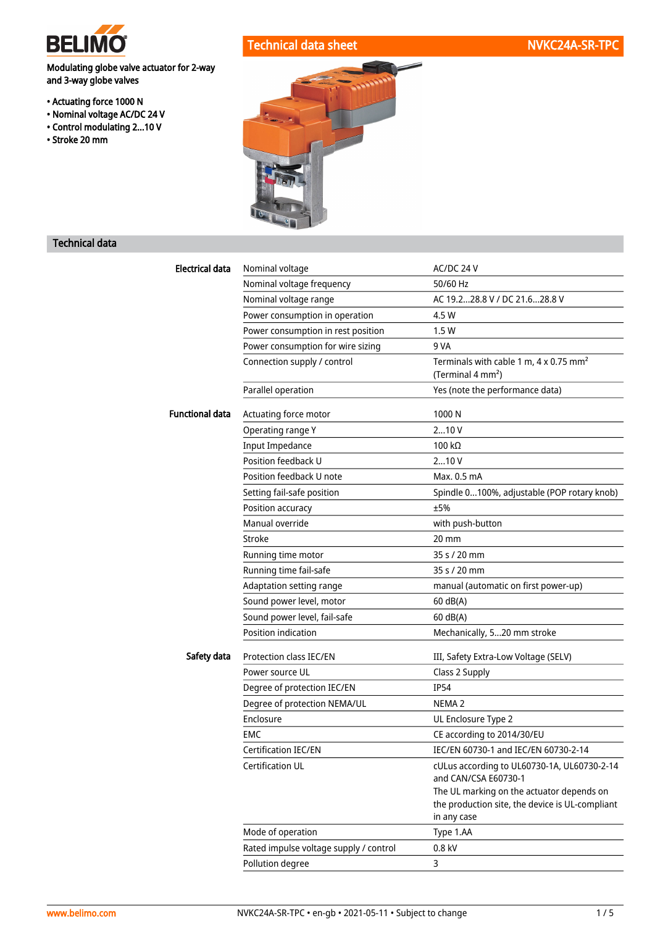

Technical data sheet NVKC24A-SR-TPC

Modulating globe valve actuator for 2-way and 3-way globe valves

- Actuating force 1000 N
- Nominal voltage AC/DC 24 V
- Control modulating 2...10 V
- Stroke 20 mm



## Technical data

| Electrical data        | Nominal voltage                        | AC/DC 24 V                                                                                   |  |
|------------------------|----------------------------------------|----------------------------------------------------------------------------------------------|--|
|                        | Nominal voltage frequency              | 50/60 Hz                                                                                     |  |
|                        | Nominal voltage range                  | AC 19.228.8 V / DC 21.628.8 V                                                                |  |
|                        | Power consumption in operation         | 4.5 W                                                                                        |  |
|                        | Power consumption in rest position     | 1.5W                                                                                         |  |
|                        | Power consumption for wire sizing      | 9 VA                                                                                         |  |
|                        | Connection supply / control            | Terminals with cable 1 m, 4 x 0.75 mm <sup>2</sup><br>(Terminal 4 mm <sup>2</sup> )          |  |
|                        | Parallel operation                     | Yes (note the performance data)                                                              |  |
| <b>Functional data</b> | Actuating force motor                  | 1000N                                                                                        |  |
|                        | Operating range Y                      | 210V                                                                                         |  |
|                        | <b>Input Impedance</b>                 | 100 $k\Omega$                                                                                |  |
|                        | Position feedback U                    | 210V                                                                                         |  |
|                        | Position feedback U note               | Max. 0.5 mA                                                                                  |  |
|                        | Setting fail-safe position             | Spindle 0100%, adjustable (POP rotary knob)                                                  |  |
|                        | Position accuracy                      | ±5%                                                                                          |  |
|                        | Manual override                        | with push-button                                                                             |  |
|                        | Stroke                                 | $20 \text{ mm}$                                                                              |  |
|                        | Running time motor                     | 35 s / 20 mm                                                                                 |  |
|                        | Running time fail-safe                 | 35 s / 20 mm                                                                                 |  |
|                        | Adaptation setting range               | manual (automatic on first power-up)                                                         |  |
|                        | Sound power level, motor               | 60 dB(A)                                                                                     |  |
|                        | Sound power level, fail-safe           | $60$ dB(A)                                                                                   |  |
|                        | Position indication                    | Mechanically, 520 mm stroke                                                                  |  |
| Safety data            | Protection class IEC/EN                | III, Safety Extra-Low Voltage (SELV)                                                         |  |
|                        | Power source UL                        | Class 2 Supply                                                                               |  |
|                        | Degree of protection IEC/EN            | <b>IP54</b>                                                                                  |  |
|                        | Degree of protection NEMA/UL           | NEMA <sub>2</sub>                                                                            |  |
|                        | Enclosure                              | UL Enclosure Type 2                                                                          |  |
|                        | EMC                                    | CE according to 2014/30/EU                                                                   |  |
|                        | Certification IEC/EN                   | IEC/EN 60730-1 and IEC/EN 60730-2-14                                                         |  |
|                        | Certification UL                       | cULus according to UL60730-1A, UL60730-2-14<br>and CAN/CSA E60730-1                          |  |
|                        |                                        | The UL marking on the actuator depends on<br>the production site, the device is UL-compliant |  |
|                        |                                        | in any case                                                                                  |  |
|                        | Mode of operation                      | Type 1.AA                                                                                    |  |
|                        | Rated impulse voltage supply / control | $0.8$ kV                                                                                     |  |
|                        | Pollution degree                       | 3                                                                                            |  |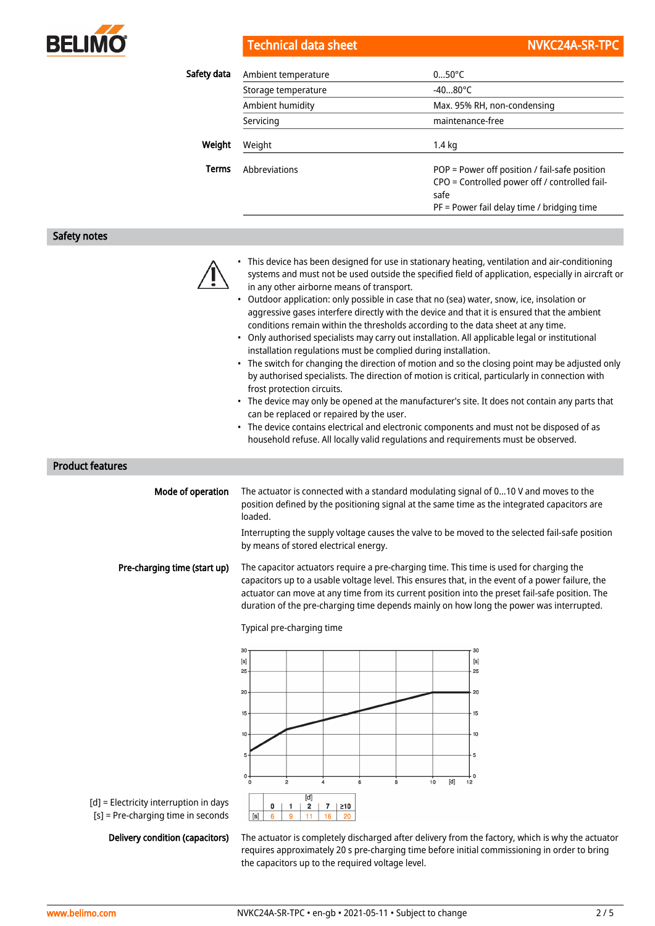

Technical data sheet NVKC24A-SR-TPC

| Safety data  | Ambient temperature | $050^{\circ}$ C                                                                                                                                        |  |
|--------------|---------------------|--------------------------------------------------------------------------------------------------------------------------------------------------------|--|
|              | Storage temperature | $-4080^{\circ}$ C                                                                                                                                      |  |
|              | Ambient humidity    | Max. 95% RH, non-condensing                                                                                                                            |  |
|              | Servicing           | maintenance-free                                                                                                                                       |  |
| Weight       | Weight              | $1.4 \text{ kg}$                                                                                                                                       |  |
| <b>Terms</b> | Abbreviations       | POP = Power off position / fail-safe position<br>CPO = Controlled power off / controlled fail-<br>safe<br>$PF = Power$ fail delay time / bridging time |  |

Safety notes

| • This device has been designed for use in stationary heating, ventilation and air-conditioning    |
|----------------------------------------------------------------------------------------------------|
| systems and must not be used outside the specified field of application, especially in aircraft or |
| in any other airborne means of transport.                                                          |

- Outdoor application: only possible in case that no (sea) water, snow, ice, insolation or aggressive gases interfere directly with the device and that it is ensured that the ambient conditions remain within the thresholds according to the data sheet at any time.
- Only authorised specialists may carry out installation. All applicable legal or institutional installation regulations must be complied during installation.
- The switch for changing the direction of motion and so the closing point may be adjusted only by authorised specialists. The direction of motion is critical, particularly in connection with frost protection circuits.
- The device may only be opened at the manufacturer's site. It does not contain any parts that can be replaced or repaired by the user.
- The device contains electrical and electronic components and must not be disposed of as household refuse. All locally valid regulations and requirements must be observed.

Product features

| Mode of operation            | The actuator is connected with a standard modulating signal of 010 V and moves to the<br>position defined by the positioning signal at the same time as the integrated capacitors are<br>loaded.                                                                                                                                                                                          |
|------------------------------|-------------------------------------------------------------------------------------------------------------------------------------------------------------------------------------------------------------------------------------------------------------------------------------------------------------------------------------------------------------------------------------------|
|                              | Interrupting the supply voltage causes the valve to be moved to the selected fail-safe position<br>by means of stored electrical energy.                                                                                                                                                                                                                                                  |
| Pre-charging time (start up) | The capacitor actuators require a pre-charging time. This time is used for charging the<br>capacitors up to a usable voltage level. This ensures that, in the event of a power failure, the<br>actuator can move at any time from its current position into the preset fail-safe position. The<br>duration of the pre-charging time depends mainly on how long the power was interrupted. |



[d] = Electricity interruption in days [s] = Pre-charging time in seconds

Delivery condition (capacitors)

The actuator is completely discharged after delivery from the factory, which is why the actuator requires approximately 20 s pre-charging time before initial commissioning in order to bring the capacitors up to the required voltage level.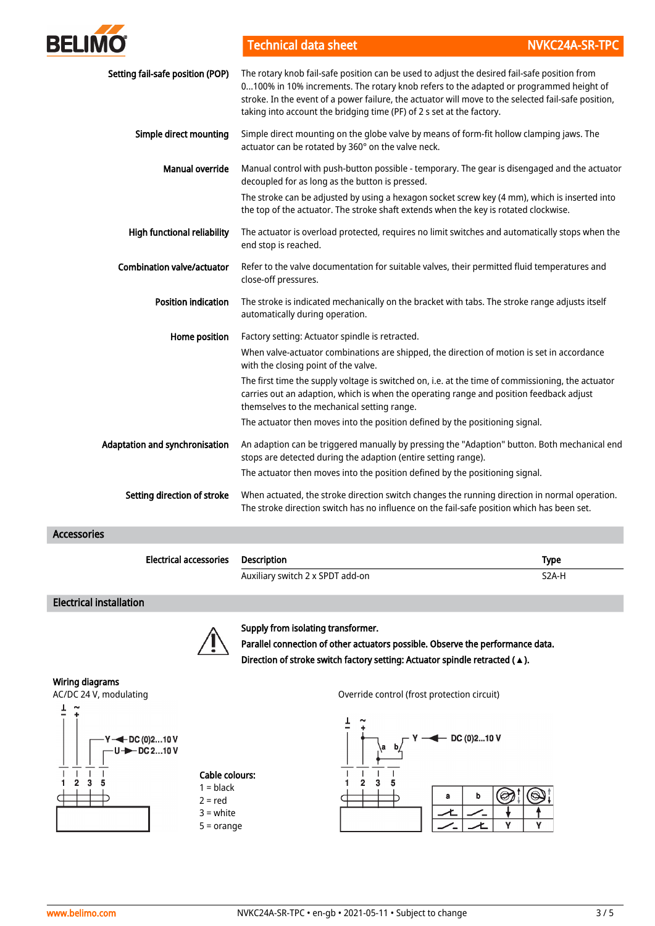

Technical data sheet NVKC24A-SR-TPC

| Setting fail-safe position (POP)  | The rotary knob fail-safe position can be used to adjust the desired fail-safe position from<br>0100% in 10% increments. The rotary knob refers to the adapted or programmed height of<br>stroke. In the event of a power failure, the actuator will move to the selected fail-safe position,<br>taking into account the bridging time (PF) of 2 s set at the factory. |
|-----------------------------------|------------------------------------------------------------------------------------------------------------------------------------------------------------------------------------------------------------------------------------------------------------------------------------------------------------------------------------------------------------------------|
| Simple direct mounting            | Simple direct mounting on the globe valve by means of form-fit hollow clamping jaws. The<br>actuator can be rotated by 360° on the valve neck.                                                                                                                                                                                                                         |
| <b>Manual override</b>            | Manual control with push-button possible - temporary. The gear is disengaged and the actuator<br>decoupled for as long as the button is pressed.                                                                                                                                                                                                                       |
|                                   | The stroke can be adjusted by using a hexagon socket screw key (4 mm), which is inserted into<br>the top of the actuator. The stroke shaft extends when the key is rotated clockwise.                                                                                                                                                                                  |
| High functional reliability       | The actuator is overload protected, requires no limit switches and automatically stops when the<br>end stop is reached.                                                                                                                                                                                                                                                |
| <b>Combination valve/actuator</b> | Refer to the valve documentation for suitable valves, their permitted fluid temperatures and<br>close-off pressures.                                                                                                                                                                                                                                                   |
| <b>Position indication</b>        | The stroke is indicated mechanically on the bracket with tabs. The stroke range adjusts itself<br>automatically during operation.                                                                                                                                                                                                                                      |
| Home position                     | Factory setting: Actuator spindle is retracted.                                                                                                                                                                                                                                                                                                                        |
|                                   | When valve-actuator combinations are shipped, the direction of motion is set in accordance<br>with the closing point of the valve.                                                                                                                                                                                                                                     |
|                                   | The first time the supply voltage is switched on, i.e. at the time of commissioning, the actuator<br>carries out an adaption, which is when the operating range and position feedback adjust<br>themselves to the mechanical setting range.                                                                                                                            |
|                                   | The actuator then moves into the position defined by the positioning signal.                                                                                                                                                                                                                                                                                           |
| Adaptation and synchronisation    | An adaption can be triggered manually by pressing the "Adaption" button. Both mechanical end<br>stops are detected during the adaption (entire setting range).                                                                                                                                                                                                         |
|                                   | The actuator then moves into the position defined by the positioning signal.                                                                                                                                                                                                                                                                                           |
| Setting direction of stroke       | When actuated, the stroke direction switch changes the running direction in normal operation.<br>The stroke direction switch has no influence on the fail-safe position which has been set.                                                                                                                                                                            |

Accessories

| <b>Electrical accessories Description</b> |                                  | <b>Type</b>        |
|-------------------------------------------|----------------------------------|--------------------|
|                                           | Auxiliary switch 2 x SPDT add-on | S <sub>2</sub> A-H |

### Electrical installation



Supply from isolating transformer.

Parallel connection of other actuators possible. Observe the performance data. Direction of stroke switch factory setting: Actuator spindle retracted (**▲**).

#### Wiring diagrams

AC/DC 24 V, modulating and the other control (frost protection circuit)



Ŧ

# Cable colours:

 $2 = red$ 3 = white 5 = orange

 $1 =$  black

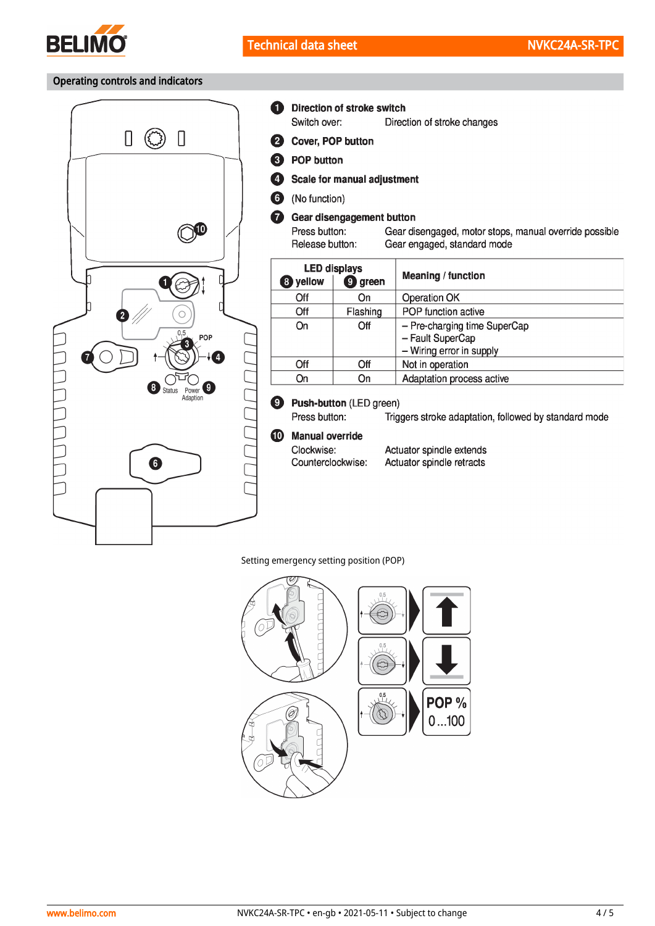

### Operating controls and indicators



- 6 **Direction of stroke switch** Switch over: Direction of stroke changes 2 Cover, POP button <sup>6</sup> POP button  $\bullet$ Scale for manual adjustment 6 (No function)  $\bullet$ Gear disengagement button Press button: Gear disengaged, motor stops, manual override possible Release button: Gear engaged, standard mode **LED displays Meaning / function** 8 yellow **g** green  $\overline{Off}$ On Operation OK POP function active Off Flashing On Off - Pre-charging time SuperCap - Fault SuperCap - Wiring error in supply  $\overline{Off}$  $\overline{Off}$ Not in operation On On Adaptation process active Push-button (LED green)  $\boldsymbol{\Theta}$ Press button: Triggers stroke adaptation, followed by standard mode  $\bullet$ **Manual override** 
	- Clockwise: Counterclockwise:
		- Actuator spindle extends Actuator spindle retracts

Setting emergency setting position (POP)